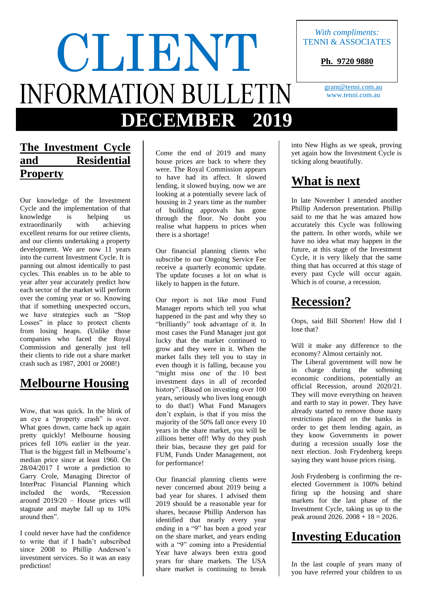# With compliments:<br>TENNI & ASSOCIAT **INFORMATION BULLETIN DECEMBER 2019**

### **The Investment Cycle and Residential Property**

Our knowledge of the Investment Cycle and the implementation of that knowledge is helping us extraordinarily with achieving excellent returns for our retiree clients, and our clients undertaking a property development. We are now 11 years into the current Investment Cycle. It is panning out almost identically to past cycles. This enables us to be able to year after year accurately predict how each sector of the market will perform over the coming year or so. Knowing that if something unexpected occurs, we have strategies such as "Stop Losses" in place to protect clients from losing heaps. (Unlike those companies who faced the Royal Commission and generally just tell their clients to ride out a share market crash such as 1987, 2001 or 2008!)

### **Melbourne Housing**

Wow, that was quick. In the blink of an eye a "property crash" is over. What goes down, came back up again pretty quickly! Melbourne housing prices fell 10% earlier in the year. That is the biggest fall in Melbourne's median price since at least 1960. On 28/04/2017 I wrote a prediction to Garry Crole, Managing Director of InterPrac Financial Planning which included the words, "Recession around 2019/20 – House prices will stagnate and maybe fall up to 10% around then".

I could never have had the confidence to write that if I hadn't subscribed since 2008 to Phillip Anderson's investment services. So it was an easy prediction!

Come the end of 2019 and many house prices are back to where they were. The Royal Commission appears to have had its affect. It slowed lending, it slowed buying, now we are looking at a potentially severe lack of housing in 2 years time as the number of building approvals has gone through the floor. No doubt you realise what happens to prices when there is a shortage!

Our financial planning clients who subscribe to our Ongoing Service Fee receive a quarterly economic update. The update focuses a lot on what is likely to happen in the future.

Our report is not like most Fund Manager reports which tell you what happened in the past and why they so "brilliantly" took advantage of it. In most cases the Fund Manager just got lucky that the market continued to grow and they were in it. When the market falls they tell you to stay in even though it is falling, because you "might miss one of the 10 best investment days in all of recorded history". (Based on investing over 100 years, seriously who lives long enough to do that!) What Fund Managers don't explain, is that if you miss the majority of the 50% fall once every 10 years in the share market, you will be zillions better off! Why do they push their bias, because they get paid for FUM, Funds Under Management, not for performance!

Our financial planning clients were never concerned about 2019 being a bad year for shares. I advised them 2019 should be a reasonable year for shares, because Phillip Anderson has identified that nearly every year ending in a "9" has been a good year on the share market, and years ending with a "9" coming into a Presidential Year have always been extra good years for share markets. The USA share market is continuing to break

into New Highs as we speak, proving yet again how the Investment Cycle is ticking along beautifully.

### **What is next**

In late November I attended another Phillip Anderson presentation. Phillip said to me that he was amazed how accurately this Cycle was following the pattern. In other words, while we have no idea what may happen in the future, at this stage of the Investment Cycle, it is very likely that the same thing that has occurred at this stage of every past Cycle will occur again. Which is of course, a recession.

### **Recession?**

Oops, said Bill Shorten! How did I lose that?

Will it make any difference to the economy? Almost certainly not.

The Liberal government will now be in charge during the softening economic conditions, potentially an official Recession, around 2020/21. They will move everything on heaven and earth to stay in power. They have already started to remove those nasty restrictions placed on the banks in order to get them lending again, as they know Governments in power during a recession usually lose the next election. Josh Frydenberg keeps saying they want house prices rising.

Josh Frydenberg is confirming the reelected Government is 100% behind firing up the housing and share markets for the last phase of the Investment Cycle, taking us up to the peak around  $2026. 2008 + 18 = 2026$ .

### **Investing Education**

In the last couple of years many of you have referred your children to us

## TENNI & ASSOCIATES

**Ph. 9720 9880**

[grant@tenni.com.au](mailto:grant@tenni.com.au) www.tenni.com.au